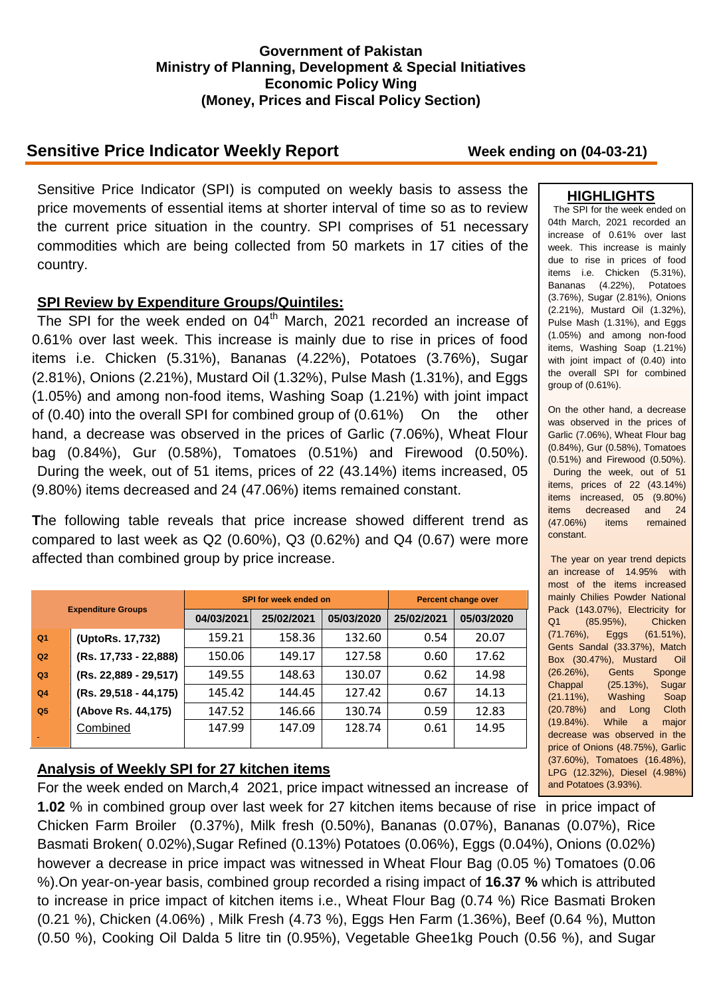### **Government of Pakistan Ministry of Planning, Development & Special Initiatives Economic Policy Wing (Money, Prices and Fiscal Policy Section)**

# **Sensitive Price Indicator Weekly Report Week ending on (04-03-21)**

Sensitive Price Indicator (SPI) is computed on weekly basis to assess the price movements of essential items at shorter interval of time so as to review the current price situation in the country. SPI comprises of 51 necessary commodities which are being collected from 50 markets in 17 cities of the country.

### **SPI Review by Expenditure Groups/Quintiles:**

The SPI for the week ended on 04<sup>th</sup> March, 2021 recorded an increase of 0.61% over last week. This increase is mainly due to rise in prices of food items i.e. Chicken (5.31%), Bananas (4.22%), Potatoes (3.76%), Sugar (2.81%), Onions (2.21%), Mustard Oil (1.32%), Pulse Mash (1.31%), and Eggs (1.05%) and among non-food items, Washing Soap (1.21%) with joint impact of (0.40) into the overall SPI for combined group of (0.61%) On the other hand, a decrease was observed in the prices of Garlic (7.06%), Wheat Flour bag (0.84%), Gur (0.58%), Tomatoes (0.51%) and Firewood (0.50%). During the week, out of 51 items, prices of 22 (43.14%) items increased, 05 (9.80%) items decreased and 24 (47.06%) items remained constant.

**T**he following table reveals that price increase showed different trend as compared to last week as Q2 (0.60%), Q3 (0.62%) and Q4 (0.67) were more affected than combined group by price increase.

| <b>Expenditure Groups</b> |                       |            | SPI for week ended on | <b>Percent change over</b> |            |            |
|---------------------------|-----------------------|------------|-----------------------|----------------------------|------------|------------|
|                           |                       | 04/03/2021 | 25/02/2021            | 05/03/2020                 | 25/02/2021 | 05/03/2020 |
| Q <sub>1</sub>            | (UptoRs. 17,732)      | 159.21     | 158.36                | 132.60                     | 0.54       | 20.07      |
| Q2                        | (Rs. 17,733 - 22,888) | 150.06     | 149.17                | 127.58                     | 0.60       | 17.62      |
| Q3                        | (Rs. 22,889 - 29,517) | 149.55     | 148.63                | 130.07                     | 0.62       | 14.98      |
| Q <sub>4</sub>            | (Rs. 29,518 - 44,175) | 145.42     | 144.45                | 127.42                     | 0.67       | 14.13      |
| Q <sub>5</sub>            | (Above Rs. 44,175)    | 147.52     | 146.66                | 130.74                     | 0.59       | 12.83      |
|                           | Combined              | 147.99     | 147.09                | 128.74                     | 0.61       | 14.95      |

## **Analysis of Weekly SPI for 27 kitchen items**

For the week ended on March,4 2021, price impact witnessed an increase of **1.02** % in combined group over last week for 27 kitchen items because of rise in price impact of Chicken Farm Broiler (0.37%), Milk fresh (0.50%), Bananas (0.07%), Bananas (0.07%), Rice Basmati Broken( 0.02%),Sugar Refined (0.13%) Potatoes (0.06%), Eggs (0.04%), Onions (0.02%) however a decrease in price impact was witnessed in Wheat Flour Bag (0.05 %) Tomatoes (0.06 %).On year-on-year basis, combined group recorded a rising impact of **16.37 %** which is attributed to increase in price impact of kitchen items i.e., Wheat Flour Bag (0.74 %) Rice Basmati Broken (0.21 %), Chicken (4.06%) , Milk Fresh (4.73 %), Eggs Hen Farm (1.36%), Beef (0.64 %), Mutton (0.50 %), Cooking Oil Dalda 5 litre tin (0.95%), Vegetable Ghee1kg Pouch (0.56 %), and Sugar

### **HIGHLIGHTS**

The SPI for the week ended on 04th March, 2021 recorded an increase of 0.61% over last week. This increase is mainly due to rise in prices of food items i.e. Chicken (5.31%), Bananas (4.22%), Potatoes (3.76%), Sugar (2.81%), Onions (2.21%), Mustard Oil (1.32%), Pulse Mash (1.31%), and Eggs (1.05%) and among non-food items, Washing Soap (1.21%) with joint impact of (0.40) into the overall SPI for combined group of (0.61%).

On the other hand, a decrease was observed in the prices of Garlic (7.06%), Wheat Flour bag (0.84%), Gur (0.58%), Tomatoes (0.51%) and Firewood (0.50%). During the week, out of 51 items, prices of 22 (43.14%) items increased, 05 (9.80%) items decreased and 24 (47.06%) items remained constant.

The year on year trend depicts an increase of 14.95% with most of the items increased mainly Chilies Powder National Pack (143.07%), Electricity for Q1 (85.95%), Chicken (71.76%), Eggs (61.51%), Gents Sandal (33.37%), Match Box (30.47%), Mustard Oil (26.26%), Gents Sponge Chappal (25.13%), Sugar (21.11%), Washing Soap (20.78%) and Long Cloth (19.84%). While a major decrease was observed in the price of Onions (48.75%), Garlic (37.60%), Tomatoes (16.48%), LPG (12.32%), Diesel (4.98%) and Potatoes (3.93%).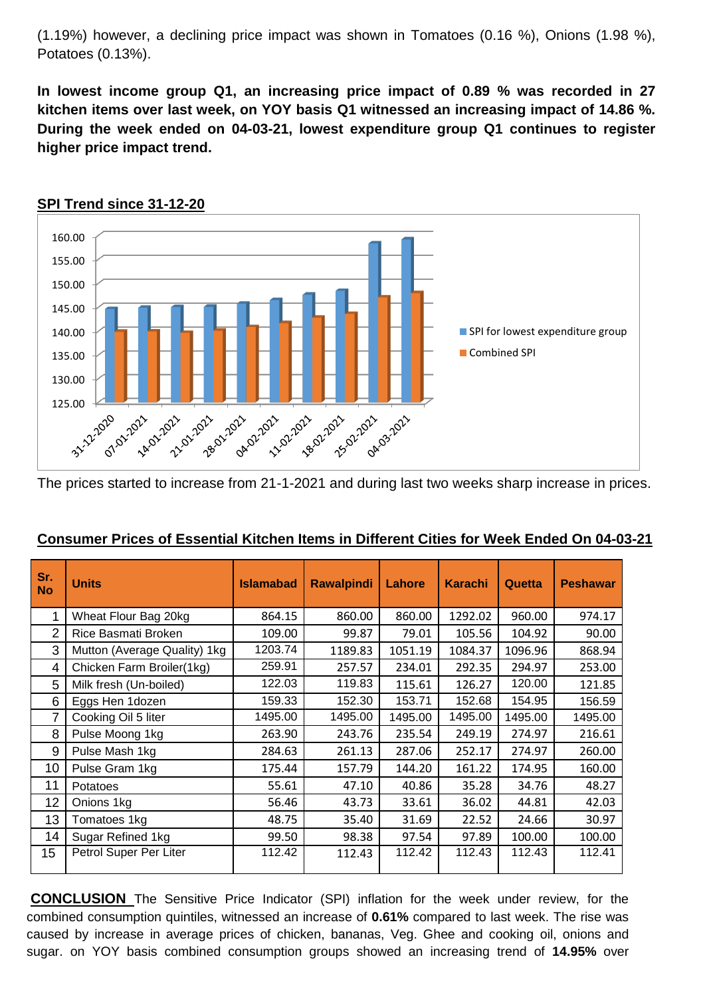(1.19%) however, a declining price impact was shown in Tomatoes (0.16 %), Onions (1.98 %), Potatoes (0.13%).

**In lowest income group Q1, an increasing price impact of 0.89 % was recorded in 27 kitchen items over last week, on YOY basis Q1 witnessed an increasing impact of 14.86 %. During the week ended on 04-03-21, lowest expenditure group Q1 continues to register higher price impact trend.**



### **SPI Trend since 31-12-20**

The prices started to increase from 21-1-2021 and during last two weeks sharp increase in prices.

| Sr.<br><b>No</b> | <b>Units</b>                 | <b>Islamabad</b> | <b>Rawalpindi</b> | Lahore  | <b>Karachi</b> | Quetta  | <b>Peshawar</b> |
|------------------|------------------------------|------------------|-------------------|---------|----------------|---------|-----------------|
|                  | Wheat Flour Bag 20kg         | 864.15           | 860.00            | 860.00  | 1292.02        | 960.00  | 974.17          |
| 2                | Rice Basmati Broken          | 109.00           | 99.87             | 79.01   | 105.56         | 104.92  | 90.00           |
| 3                | Mutton (Average Quality) 1kg | 1203.74          | 1189.83           | 1051.19 | 1084.37        | 1096.96 | 868.94          |
| 4                | Chicken Farm Broiler(1kg)    | 259.91           | 257.57            | 234.01  | 292.35         | 294.97  | 253.00          |
| 5                | Milk fresh (Un-boiled)       | 122.03           | 119.83            | 115.61  | 126.27         | 120.00  | 121.85          |
| 6                | Eggs Hen 1dozen              | 159.33           | 152.30            | 153.71  | 152.68         | 154.95  | 156.59          |
| 7                | Cooking Oil 5 liter          | 1495.00          | 1495.00           | 1495.00 | 1495.00        | 1495.00 | 1495.00         |
| 8                | Pulse Moong 1kg              | 263.90           | 243.76            | 235.54  | 249.19         | 274.97  | 216.61          |
| 9                | Pulse Mash 1kg               | 284.63           | 261.13            | 287.06  | 252.17         | 274.97  | 260.00          |
| 10               | Pulse Gram 1kg               | 175.44           | 157.79            | 144.20  | 161.22         | 174.95  | 160.00          |
| 11               | Potatoes                     | 55.61            | 47.10             | 40.86   | 35.28          | 34.76   | 48.27           |
| 12               | Onions 1kg                   | 56.46            | 43.73             | 33.61   | 36.02          | 44.81   | 42.03           |
| 13               | Tomatoes 1kg                 | 48.75            | 35.40             | 31.69   | 22.52          | 24.66   | 30.97           |
| 14               | Sugar Refined 1kg            | 99.50            | 98.38             | 97.54   | 97.89          | 100.00  | 100.00          |
| 15               | Petrol Super Per Liter       | 112.42           | 112.43            | 112.42  | 112.43         | 112.43  | 112.41          |

## **Consumer Prices of Essential Kitchen Items in Different Cities for Week Ended On 04-03-21**

**CONCLUSION** The Sensitive Price Indicator (SPI) inflation for the week under review, for the combined consumption quintiles, witnessed an increase of **0.61%** compared to last week. The rise was caused by increase in average prices of chicken, bananas, Veg. Ghee and cooking oil, onions and sugar. on YOY basis combined consumption groups showed an increasing trend of **14.95%** over